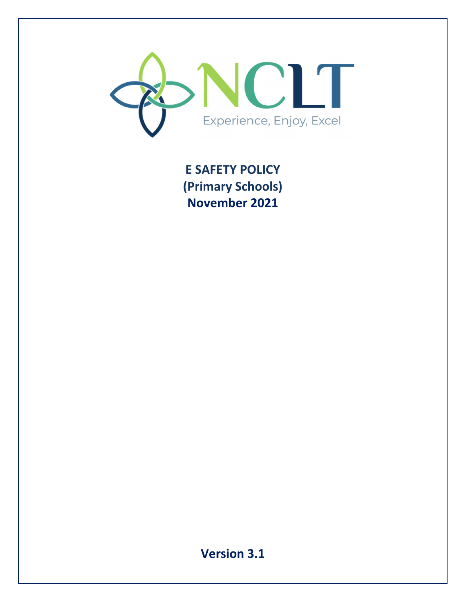

**E SAFETY POLICY (Primary Schools) November 2021** 

**Version 3.1**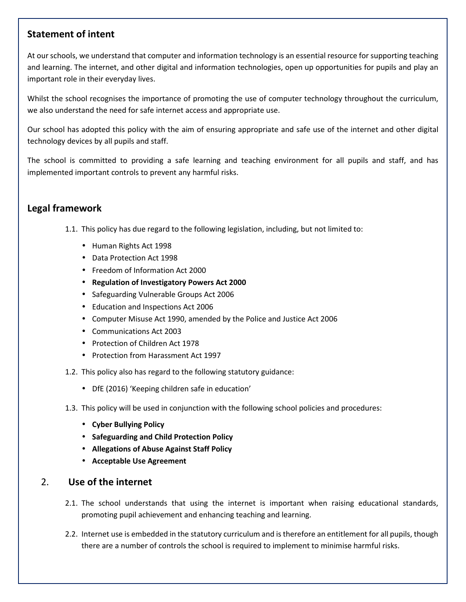# **Statement of intent**

At our schools, we understand that computer and information technology is an essential resource for supporting teaching and learning. The internet, and other digital and information technologies, open up opportunities for pupils and play an important role in their everyday lives.

Whilst the school recognises the importance of promoting the use of computer technology throughout the curriculum, we also understand the need for safe internet access and appropriate use.

Our school has adopted this policy with the aim of ensuring appropriate and safe use of the internet and other digital technology devices by all pupils and staff.

The school is committed to providing a safe learning and teaching environment for all pupils and staff, and has implemented important controls to prevent any harmful risks.

# **Legal framework**

- 1.1. This policy has due regard to the following legislation, including, but not limited to:
	- Human Rights Act 1998
	- Data Protection Act 1998
	- Freedom of Information Act 2000
	- **Regulation of Investigatory Powers Act 2000**
	- Safeguarding Vulnerable Groups Act 2006
	- Education and Inspections Act 2006
	- Computer Misuse Act 1990, amended by the Police and Justice Act 2006
	- Communications Act 2003
	- Protection of Children Act 1978
	- Protection from Harassment Act 1997
- 1.2. This policy also has regard to the following statutory guidance:
	- DfE (2016) 'Keeping children safe in education'
- 1.3. This policy will be used in conjunction with the following school policies and procedures:
	- **Cyber Bullying Policy**
	- **Safeguarding and Child Protection Policy**
	- **Allegations of Abuse Against Staff Policy**
	- **Acceptable Use Agreement**

# 2. **Use of the internet**

- 2.1. The school understands that using the internet is important when raising educational standards, promoting pupil achievement and enhancing teaching and learning.
- 2.2. Internet use is embedded in the statutory curriculum and is therefore an entitlement for all pupils, though there are a number of controls the school is required to implement to minimise harmful risks.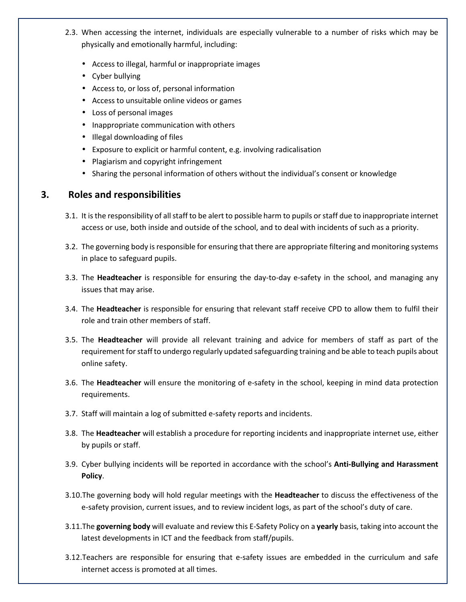- 2.3. When accessing the internet, individuals are especially vulnerable to a number of risks which may be physically and emotionally harmful, including:
	- Access to illegal, harmful or inappropriate images
	- Cyber bullying
	- Access to, or loss of, personal information
	- Access to unsuitable online videos or games
	- Loss of personal images
	- Inappropriate communication with others
	- Illegal downloading of files
	- Exposure to explicit or harmful content, e.g. involving radicalisation
	- Plagiarism and copyright infringement
	- Sharing the personal information of others without the individual's consent or knowledge

## **3. Roles and responsibilities**

- 3.1. It is the responsibility of all staff to be alert to possible harm to pupils or staff due to inappropriate internet access or use, both inside and outside of the school, and to deal with incidents of such as a priority.
- 3.2. The governing body is responsible for ensuring that there are appropriate filtering and monitoring systems in place to safeguard pupils.
- 3.3. The **Headteacher** is responsible for ensuring the day-to-day e-safety in the school, and managing any issues that may arise.
- 3.4. The **Headteacher** is responsible for ensuring that relevant staff receive CPD to allow them to fulfil their role and train other members of staff.
- 3.5. The **Headteacher** will provide all relevant training and advice for members of staff as part of the requirement for staff to undergo regularly updated safeguarding training and be able to teach pupils about online safety.
- 3.6. The **Headteacher** will ensure the monitoring of e-safety in the school, keeping in mind data protection requirements.
- 3.7. Staff will maintain a log of submitted e-safety reports and incidents.
- 3.8. The **Headteacher** will establish a procedure for reporting incidents and inappropriate internet use, either by pupils or staff.
- 3.9. Cyber bullying incidents will be reported in accordance with the school's **Anti-Bullying and Harassment Policy**.
- 3.10.The governing body will hold regular meetings with the **Headteacher** to discuss the effectiveness of the e-safety provision, current issues, and to review incident logs, as part of the school's duty of care.
- 3.11.The **governing body** will evaluate and review this E-Safety Policy on a **yearly** basis, taking into account the latest developments in ICT and the feedback from staff/pupils.
- 3.12.Teachers are responsible for ensuring that e-safety issues are embedded in the curriculum and safe internet access is promoted at all times.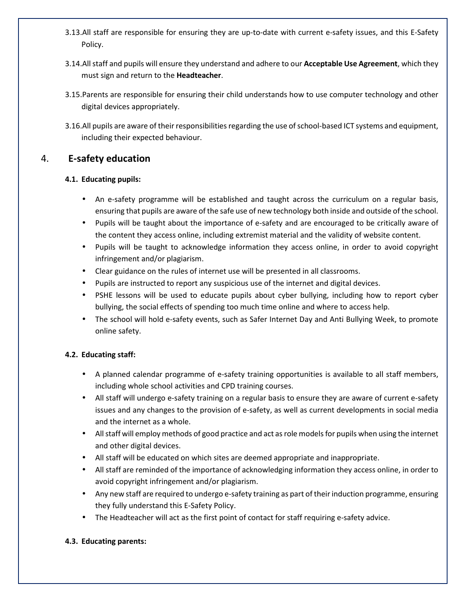- 3.13.All staff are responsible for ensuring they are up-to-date with current e-safety issues, and this E-Safety Policy.
- 3.14.All staff and pupils will ensure they understand and adhere to our **Acceptable Use Agreement**, which they must sign and return to the **Headteacher**.
- 3.15.Parents are responsible for ensuring their child understands how to use computer technology and other digital devices appropriately.
- 3.16.All pupils are aware of their responsibilities regarding the use of school-based ICT systems and equipment, including their expected behaviour.

# 4. **E-safety education**

## **4.1. Educating pupils:**

- An e-safety programme will be established and taught across the curriculum on a regular basis, ensuring that pupils are aware of the safe use of new technology both inside and outside of the school.
- Pupils will be taught about the importance of e-safety and are encouraged to be critically aware of the content they access online, including extremist material and the validity of website content.
- Pupils will be taught to acknowledge information they access online, in order to avoid copyright infringement and/or plagiarism.
- Clear guidance on the rules of internet use will be presented in all classrooms.
- Pupils are instructed to report any suspicious use of the internet and digital devices.
- PSHE lessons will be used to educate pupils about cyber bullying, including how to report cyber bullying, the social effects of spending too much time online and where to access help.
- The school will hold e-safety events, such as Safer Internet Day and Anti Bullying Week, to promote online safety.

## **4.2. Educating staff:**

- A planned calendar programme of e-safety training opportunities is available to all staff members, including whole school activities and CPD training courses.
- All staff will undergo e-safety training on a regular basis to ensure they are aware of current e-safety issues and any changes to the provision of e-safety, as well as current developments in social media and the internet as a whole.
- All staff will employ methods of good practice and act as role models for pupils when using the internet and other digital devices.
- All staff will be educated on which sites are deemed appropriate and inappropriate.
- All staff are reminded of the importance of acknowledging information they access online, in order to avoid copyright infringement and/or plagiarism.
- Any new staff are required to undergo e-safety training as part of their induction programme, ensuring they fully understand this E-Safety Policy.
- The Headteacher will act as the first point of contact for staff requiring e-safety advice.

## **4.3. Educating parents:**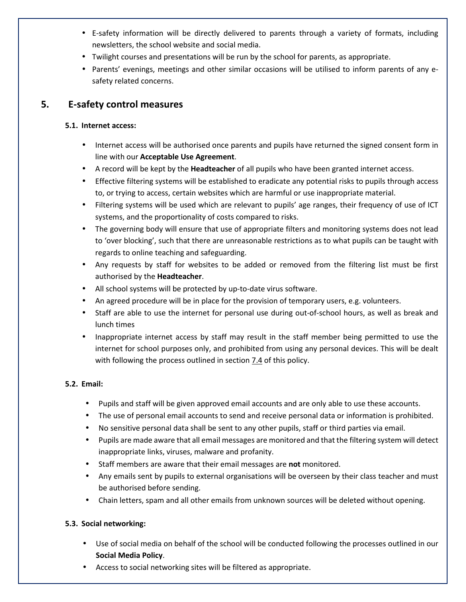- E-safety information will be directly delivered to parents through a variety of formats, including newsletters, the school website and social media.
- Twilight courses and presentations will be run by the school for parents, as appropriate.
- Parents' evenings, meetings and other similar occasions will be utilised to inform parents of any esafety related concerns.

## **5. E-safety control measures**

## **5.1. Internet access:**

- Internet access will be authorised once parents and pupils have returned the signed consent form in line with our **Acceptable Use Agreement**.
- A record will be kept by the **Headteacher** of all pupils who have been granted internet access.
- Effective filtering systems will be established to eradicate any potential risks to pupils through access to, or trying to access, certain websites which are harmful or use inappropriate material.
- Filtering systems will be used which are relevant to pupils' age ranges, their frequency of use of ICT systems, and the proportionality of costs compared to risks.
- The governing body will ensure that use of appropriate filters and monitoring systems does not lead to 'over blocking', such that there are unreasonable restrictions as to what pupils can be taught with regards to online teaching and safeguarding.
- Any requests by staff for websites to be added or removed from the filtering list must be first authorised by the **Headteacher**.
- All school systems will be protected by up-to-date virus software.
- An agreed procedure will be in place for the provision of temporary users, e.g. volunteers.
- Staff are able to use the internet for personal use during out-of-school hours, as well as break and lunch times
- Inappropriate internet access by staff may result in the staff member being permitted to use the internet for school purposes only, and prohibited from using any personal devices. This will be dealt with following the process outlined in section 7.4 of this policy.

## **5.2. Email:**

- Pupils and staff will be given approved email accounts and are only able to use these accounts.
- The use of personal email accounts to send and receive personal data or information is prohibited.
- No sensitive personal data shall be sent to any other pupils, staff or third parties via email.
- Pupils are made aware that all email messages are monitored and that the filtering system will detect inappropriate links, viruses, malware and profanity.
- Staff members are aware that their email messages are **not** monitored.
- Any emails sent by pupils to external organisations will be overseen by their class teacher and must be authorised before sending.
- Chain letters, spam and all other emails from unknown sources will be deleted without opening.

## **5.3. Social networking:**

- Use of social media on behalf of the school will be conducted following the processes outlined in our **Social Media Policy**.
- Access to social networking sites will be filtered as appropriate.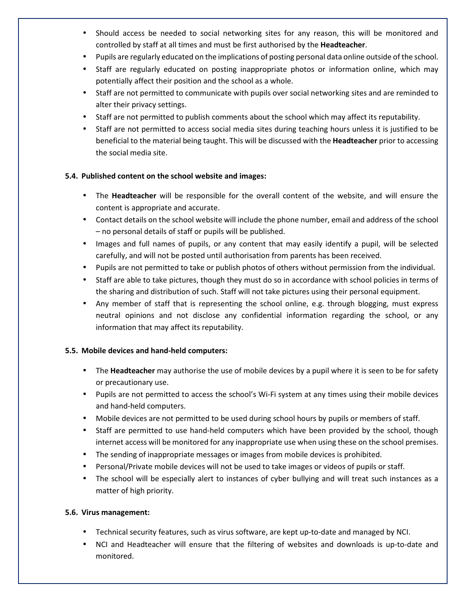- Should access be needed to social networking sites for any reason, this will be monitored and controlled by staff at all times and must be first authorised by the **Headteacher**.
- Pupils are regularly educated on the implications of posting personal data online outside of the school.
- Staff are regularly educated on posting inappropriate photos or information online, which may potentially affect their position and the school as a whole.
- Staff are not permitted to communicate with pupils over social networking sites and are reminded to alter their privacy settings.
- Staff are not permitted to publish comments about the school which may affect its reputability.
- Staff are not permitted to access social media sites during teaching hours unless it is justified to be beneficial to the material being taught. This will be discussed with the **Headteacher** prior to accessing the social media site.

## **5.4. Published content on the school website and images:**

- The **Headteacher** will be responsible for the overall content of the website, and will ensure the content is appropriate and accurate.
- Contact details on the school website will include the phone number, email and address of the school – no personal details of staff or pupils will be published.
- Images and full names of pupils, or any content that may easily identify a pupil, will be selected carefully, and will not be posted until authorisation from parents has been received.
- Pupils are not permitted to take or publish photos of others without permission from the individual.
- Staff are able to take pictures, though they must do so in accordance with school policies in terms of the sharing and distribution of such. Staff will not take pictures using their personal equipment.
- Any member of staff that is representing the school online, e.g. through blogging, must express neutral opinions and not disclose any confidential information regarding the school, or any information that may affect its reputability.

## **5.5. Mobile devices and hand-held computers:**

- The **Headteacher** may authorise the use of mobile devices by a pupil where it is seen to be for safety or precautionary use.
- Pupils are not permitted to access the school's Wi-Fi system at any times using their mobile devices and hand-held computers.
- Mobile devices are not permitted to be used during school hours by pupils or members of staff.
- Staff are permitted to use hand-held computers which have been provided by the school, though internet access will be monitored for any inappropriate use when using these on the school premises.
- The sending of inappropriate messages or images from mobile devices is prohibited.
- Personal/Private mobile devices will not be used to take images or videos of pupils or staff.
- The school will be especially alert to instances of cyber bullying and will treat such instances as a matter of high priority.

## **5.6. Virus management:**

- Technical security features, such as virus software, are kept up-to-date and managed by NCI.
- NCI and Headteacher will ensure that the filtering of websites and downloads is up-to-date and monitored.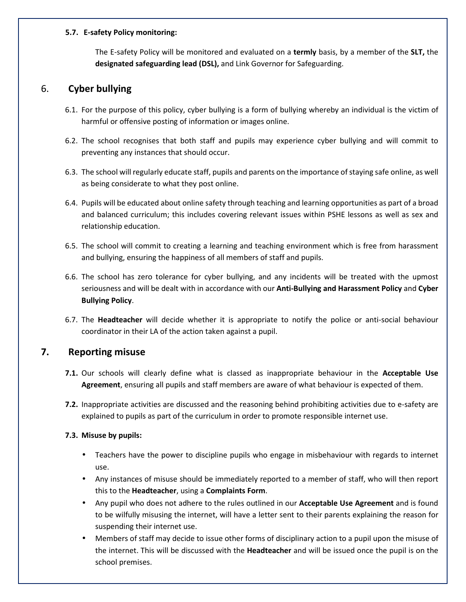#### **5.7. E-safety Policy monitoring:**

The E-safety Policy will be monitored and evaluated on a **termly** basis, by a member of the **SLT,** the **designated safeguarding lead (DSL),** and Link Governor for Safeguarding.

## 6. **Cyber bullying**

- 6.1. For the purpose of this policy, cyber bullying is a form of bullying whereby an individual is the victim of harmful or offensive posting of information or images online.
- 6.2. The school recognises that both staff and pupils may experience cyber bullying and will commit to preventing any instances that should occur.
- 6.3. The school will regularly educate staff, pupils and parents on the importance of staying safe online, as well as being considerate to what they post online.
- 6.4. Pupils will be educated about online safety through teaching and learning opportunities as part of a broad and balanced curriculum; this includes covering relevant issues within PSHE lessons as well as sex and relationship education.
- 6.5. The school will commit to creating a learning and teaching environment which is free from harassment and bullying, ensuring the happiness of all members of staff and pupils.
- 6.6. The school has zero tolerance for cyber bullying, and any incidents will be treated with the upmost seriousness and will be dealt with in accordance with our **Anti-Bullying and Harassment Policy** and **Cyber Bullying Policy**.
- 6.7. The **Headteacher** will decide whether it is appropriate to notify the police or anti-social behaviour coordinator in their LA of the action taken against a pupil.

## **7. Reporting misuse**

- **7.1.** Our schools will clearly define what is classed as inappropriate behaviour in the **Acceptable Use Agreement**, ensuring all pupils and staff members are aware of what behaviour is expected of them.
- **7.2.** Inappropriate activities are discussed and the reasoning behind prohibiting activities due to e-safety are explained to pupils as part of the curriculum in order to promote responsible internet use.

## **7.3. Misuse by pupils:**

- Teachers have the power to discipline pupils who engage in misbehaviour with regards to internet use.
- Any instances of misuse should be immediately reported to a member of staff, who will then report this to the **Headteacher**, using a **Complaints Form**.
- Any pupil who does not adhere to the rules outlined in our **Acceptable Use Agreement** and is found to be wilfully misusing the internet, will have a letter sent to their parents explaining the reason for suspending their internet use.
- Members of staff may decide to issue other forms of disciplinary action to a pupil upon the misuse of the internet. This will be discussed with the **Headteacher** and will be issued once the pupil is on the school premises.